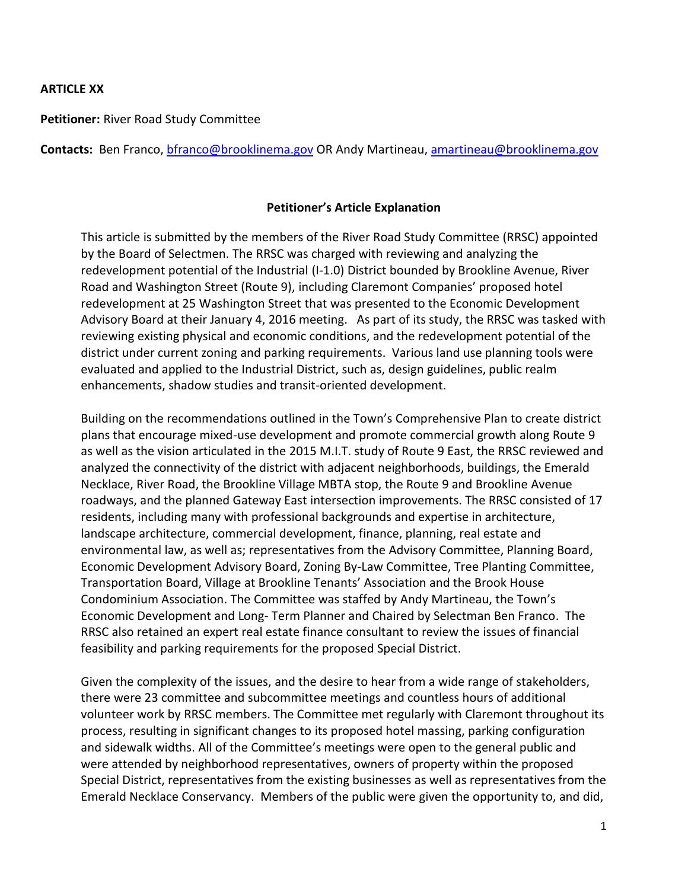### **ARTICLE XX**

**Petitioner:** River Road Study Committee

**Contacts:** Ben Franco, [bfranco@brooklinema.gov](mailto:bfranco@brooklinema.gov) OR Andy Martineau, [amartineau@brooklinema.gov](mailto:amartineau@brooklinema.gov)

### **Petitioner's Article Explanation**

This article is submitted by the members of the River Road Study Committee (RRSC) appointed by the Board of Selectmen. The RRSC was charged with reviewing and analyzing the redevelopment potential of the Industrial (I-1.0) District bounded by Brookline Avenue, River Road and Washington Street (Route 9), including Claremont Companies' proposed hotel redevelopment at 25 Washington Street that was presented to the Economic Development Advisory Board at their January 4, 2016 meeting. As part of its study, the RRSC was tasked with reviewing existing physical and economic conditions, and the redevelopment potential of the district under current zoning and parking requirements. Various land use planning tools were evaluated and applied to the Industrial District, such as, design guidelines, public realm enhancements, shadow studies and transit-oriented development.

Building on the recommendations outlined in the Town's Comprehensive Plan to create district plans that encourage mixed-use development and promote commercial growth along Route 9 as well as the vision articulated in the 2015 M.I.T. study of Route 9 East, the RRSC reviewed and analyzed the connectivity of the district with adjacent neighborhoods, buildings, the Emerald Necklace, River Road, the Brookline Village MBTA stop, the Route 9 and Brookline Avenue roadways, and the planned Gateway East intersection improvements. The RRSC consisted of 17 residents, including many with professional backgrounds and expertise in architecture, landscape architecture, commercial development, finance, planning, real estate and environmental law, as well as; representatives from the Advisory Committee, Planning Board, Economic Development Advisory Board, Zoning By-Law Committee, Tree Planting Committee, Transportation Board, Village at Brookline Tenants' Association and the Brook House Condominium Association. The Committee was staffed by Andy Martineau, the Town's Economic Development and Long- Term Planner and Chaired by Selectman Ben Franco. The RRSC also retained an expert real estate finance consultant to review the issues of financial feasibility and parking requirements for the proposed Special District.

Given the complexity of the issues, and the desire to hear from a wide range of stakeholders, there were 23 committee and subcommittee meetings and countless hours of additional volunteer work by RRSC members. The Committee met regularly with Claremont throughout its process, resulting in significant changes to its proposed hotel massing, parking configuration and sidewalk widths. All of the Committee's meetings were open to the general public and were attended by neighborhood representatives, owners of property within the proposed Special District, representatives from the existing businesses as well as representatives from the Emerald Necklace Conservancy. Members of the public were given the opportunity to, and did,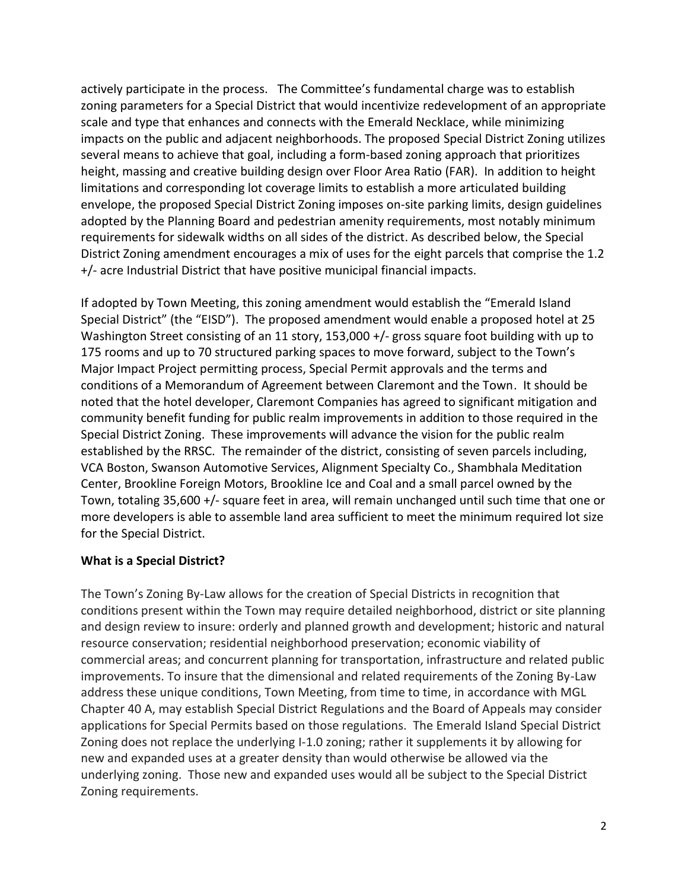actively participate in the process. The Committee's fundamental charge was to establish zoning parameters for a Special District that would incentivize redevelopment of an appropriate scale and type that enhances and connects with the Emerald Necklace, while minimizing impacts on the public and adjacent neighborhoods. The proposed Special District Zoning utilizes several means to achieve that goal, including a form-based zoning approach that prioritizes height, massing and creative building design over Floor Area Ratio (FAR). In addition to height limitations and corresponding lot coverage limits to establish a more articulated building envelope, the proposed Special District Zoning imposes on-site parking limits, design guidelines adopted by the Planning Board and pedestrian amenity requirements, most notably minimum requirements for sidewalk widths on all sides of the district. As described below, the Special District Zoning amendment encourages a mix of uses for the eight parcels that comprise the 1.2 +/- acre Industrial District that have positive municipal financial impacts.

If adopted by Town Meeting, this zoning amendment would establish the "Emerald Island Special District" (the "EISD"). The proposed amendment would enable a proposed hotel at 25 Washington Street consisting of an 11 story, 153,000 +/- gross square foot building with up to 175 rooms and up to 70 structured parking spaces to move forward, subject to the Town's Major Impact Project permitting process, Special Permit approvals and the terms and conditions of a Memorandum of Agreement between Claremont and the Town. It should be noted that the hotel developer, Claremont Companies has agreed to significant mitigation and community benefit funding for public realm improvements in addition to those required in the Special District Zoning. These improvements will advance the vision for the public realm established by the RRSC. The remainder of the district, consisting of seven parcels including, VCA Boston, Swanson Automotive Services, Alignment Specialty Co., Shambhala Meditation Center, Brookline Foreign Motors, Brookline Ice and Coal and a small parcel owned by the Town, totaling 35,600 +/- square feet in area, will remain unchanged until such time that one or more developers is able to assemble land area sufficient to meet the minimum required lot size for the Special District.

## **What is a Special District?**

The Town's Zoning By-Law allows for the creation of Special Districts in recognition that conditions present within the Town may require detailed neighborhood, district or site planning and design review to insure: orderly and planned growth and development; historic and natural resource conservation; residential neighborhood preservation; economic viability of commercial areas; and concurrent planning for transportation, infrastructure and related public improvements. To insure that the dimensional and related requirements of the Zoning By-Law address these unique conditions, Town Meeting, from time to time, in accordance with MGL Chapter 40 A, may establish Special District Regulations and the Board of Appeals may consider applications for Special Permits based on those regulations. The Emerald Island Special District Zoning does not replace the underlying I-1.0 zoning; rather it supplements it by allowing for new and expanded uses at a greater density than would otherwise be allowed via the underlying zoning. Those new and expanded uses would all be subject to the Special District Zoning requirements.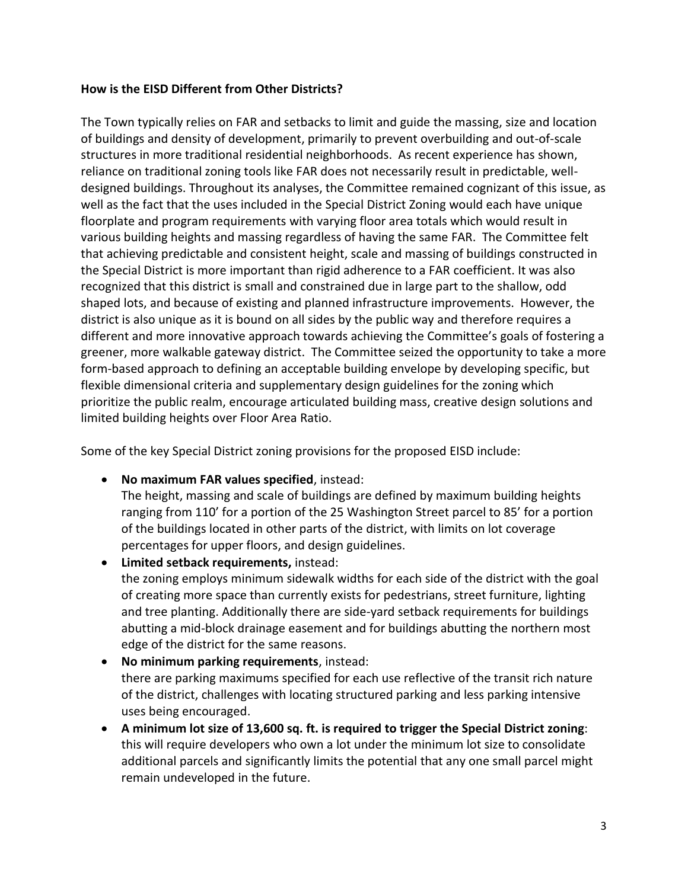### **How is the EISD Different from Other Districts?**

The Town typically relies on FAR and setbacks to limit and guide the massing, size and location of buildings and density of development, primarily to prevent overbuilding and out-of-scale structures in more traditional residential neighborhoods. As recent experience has shown, reliance on traditional zoning tools like FAR does not necessarily result in predictable, welldesigned buildings. Throughout its analyses, the Committee remained cognizant of this issue, as well as the fact that the uses included in the Special District Zoning would each have unique floorplate and program requirements with varying floor area totals which would result in various building heights and massing regardless of having the same FAR. The Committee felt that achieving predictable and consistent height, scale and massing of buildings constructed in the Special District is more important than rigid adherence to a FAR coefficient. It was also recognized that this district is small and constrained due in large part to the shallow, odd shaped lots, and because of existing and planned infrastructure improvements. However, the district is also unique as it is bound on all sides by the public way and therefore requires a different and more innovative approach towards achieving the Committee's goals of fostering a greener, more walkable gateway district. The Committee seized the opportunity to take a more form-based approach to defining an acceptable building envelope by developing specific, but flexible dimensional criteria and supplementary design guidelines for the zoning which prioritize the public realm, encourage articulated building mass, creative design solutions and limited building heights over Floor Area Ratio.

Some of the key Special District zoning provisions for the proposed EISD include:

**No maximum FAR values specified**, instead:

The height, massing and scale of buildings are defined by maximum building heights ranging from 110' for a portion of the 25 Washington Street parcel to 85' for a portion of the buildings located in other parts of the district, with limits on lot coverage percentages for upper floors, and design guidelines.

- **Limited setback requirements,** instead: the zoning employs minimum sidewalk widths for each side of the district with the goal of creating more space than currently exists for pedestrians, street furniture, lighting and tree planting. Additionally there are side-yard setback requirements for buildings abutting a mid-block drainage easement and for buildings abutting the northern most edge of the district for the same reasons.
- **No minimum parking requirements**, instead: there are parking maximums specified for each use reflective of the transit rich nature of the district, challenges with locating structured parking and less parking intensive uses being encouraged.
- **A minimum lot size of 13,600 sq. ft. is required to trigger the Special District zoning**: this will require developers who own a lot under the minimum lot size to consolidate additional parcels and significantly limits the potential that any one small parcel might remain undeveloped in the future.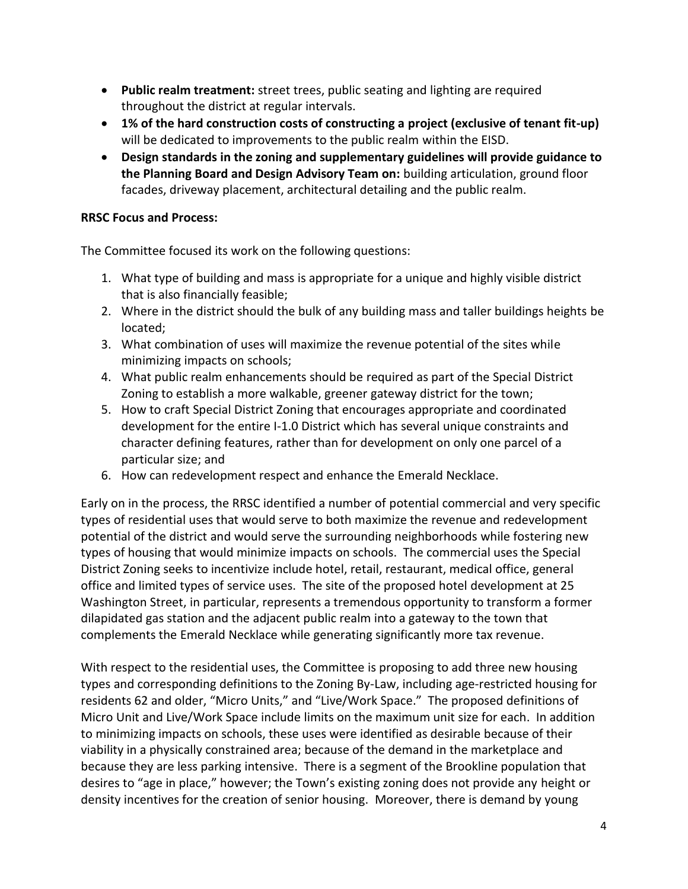- **Public realm treatment:** street trees, public seating and lighting are required throughout the district at regular intervals.
- **1% of the hard construction costs of constructing a project (exclusive of tenant fit-up)** will be dedicated to improvements to the public realm within the EISD.
- **Design standards in the zoning and supplementary guidelines will provide guidance to the Planning Board and Design Advisory Team on:** building articulation, ground floor facades, driveway placement, architectural detailing and the public realm.

# **RRSC Focus and Process:**

The Committee focused its work on the following questions:

- 1. What type of building and mass is appropriate for a unique and highly visible district that is also financially feasible;
- 2. Where in the district should the bulk of any building mass and taller buildings heights be located;
- 3. What combination of uses will maximize the revenue potential of the sites while minimizing impacts on schools;
- 4. What public realm enhancements should be required as part of the Special District Zoning to establish a more walkable, greener gateway district for the town;
- 5. How to craft Special District Zoning that encourages appropriate and coordinated development for the entire I-1.0 District which has several unique constraints and character defining features, rather than for development on only one parcel of a particular size; and
- 6. How can redevelopment respect and enhance the Emerald Necklace.

Early on in the process, the RRSC identified a number of potential commercial and very specific types of residential uses that would serve to both maximize the revenue and redevelopment potential of the district and would serve the surrounding neighborhoods while fostering new types of housing that would minimize impacts on schools. The commercial uses the Special District Zoning seeks to incentivize include hotel, retail, restaurant, medical office, general office and limited types of service uses. The site of the proposed hotel development at 25 Washington Street, in particular, represents a tremendous opportunity to transform a former dilapidated gas station and the adjacent public realm into a gateway to the town that complements the Emerald Necklace while generating significantly more tax revenue.

With respect to the residential uses, the Committee is proposing to add three new housing types and corresponding definitions to the Zoning By-Law, including age-restricted housing for residents 62 and older, "Micro Units," and "Live/Work Space." The proposed definitions of Micro Unit and Live/Work Space include limits on the maximum unit size for each. In addition to minimizing impacts on schools, these uses were identified as desirable because of their viability in a physically constrained area; because of the demand in the marketplace and because they are less parking intensive. There is a segment of the Brookline population that desires to "age in place," however; the Town's existing zoning does not provide any height or density incentives for the creation of senior housing. Moreover, there is demand by young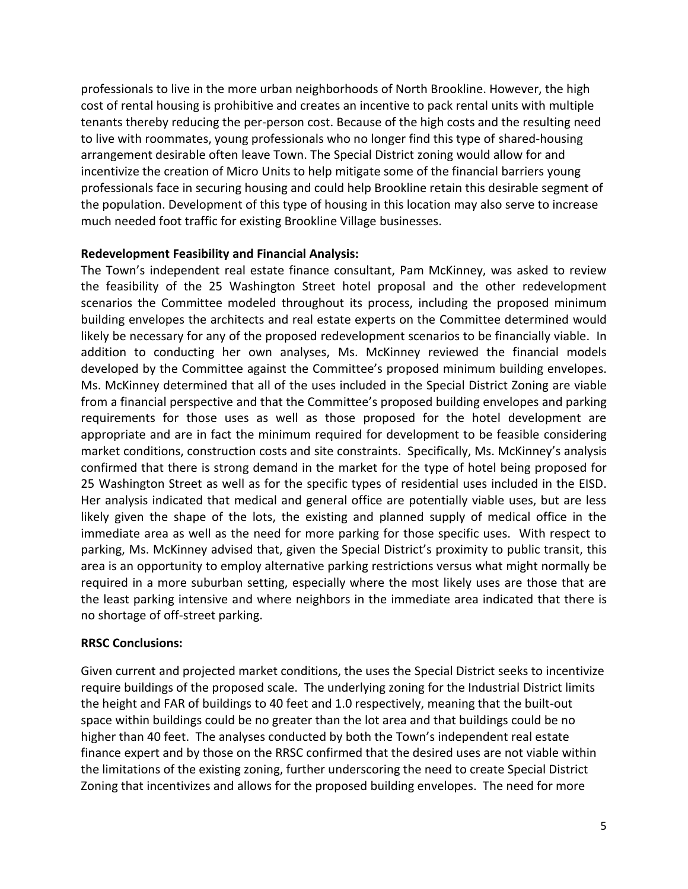professionals to live in the more urban neighborhoods of North Brookline. However, the high cost of rental housing is prohibitive and creates an incentive to pack rental units with multiple tenants thereby reducing the per-person cost. Because of the high costs and the resulting need to live with roommates, young professionals who no longer find this type of shared-housing arrangement desirable often leave Town. The Special District zoning would allow for and incentivize the creation of Micro Units to help mitigate some of the financial barriers young professionals face in securing housing and could help Brookline retain this desirable segment of the population. Development of this type of housing in this location may also serve to increase much needed foot traffic for existing Brookline Village businesses.

### **Redevelopment Feasibility and Financial Analysis:**

The Town's independent real estate finance consultant, Pam McKinney, was asked to review the feasibility of the 25 Washington Street hotel proposal and the other redevelopment scenarios the Committee modeled throughout its process, including the proposed minimum building envelopes the architects and real estate experts on the Committee determined would likely be necessary for any of the proposed redevelopment scenarios to be financially viable. In addition to conducting her own analyses, Ms. McKinney reviewed the financial models developed by the Committee against the Committee's proposed minimum building envelopes. Ms. McKinney determined that all of the uses included in the Special District Zoning are viable from a financial perspective and that the Committee's proposed building envelopes and parking requirements for those uses as well as those proposed for the hotel development are appropriate and are in fact the minimum required for development to be feasible considering market conditions, construction costs and site constraints. Specifically, Ms. McKinney's analysis confirmed that there is strong demand in the market for the type of hotel being proposed for 25 Washington Street as well as for the specific types of residential uses included in the EISD. Her analysis indicated that medical and general office are potentially viable uses, but are less likely given the shape of the lots, the existing and planned supply of medical office in the immediate area as well as the need for more parking for those specific uses. With respect to parking, Ms. McKinney advised that, given the Special District's proximity to public transit, this area is an opportunity to employ alternative parking restrictions versus what might normally be required in a more suburban setting, especially where the most likely uses are those that are the least parking intensive and where neighbors in the immediate area indicated that there is no shortage of off-street parking.

### **RRSC Conclusions:**

Given current and projected market conditions, the uses the Special District seeks to incentivize require buildings of the proposed scale. The underlying zoning for the Industrial District limits the height and FAR of buildings to 40 feet and 1.0 respectively, meaning that the built-out space within buildings could be no greater than the lot area and that buildings could be no higher than 40 feet. The analyses conducted by both the Town's independent real estate finance expert and by those on the RRSC confirmed that the desired uses are not viable within the limitations of the existing zoning, further underscoring the need to create Special District Zoning that incentivizes and allows for the proposed building envelopes. The need for more